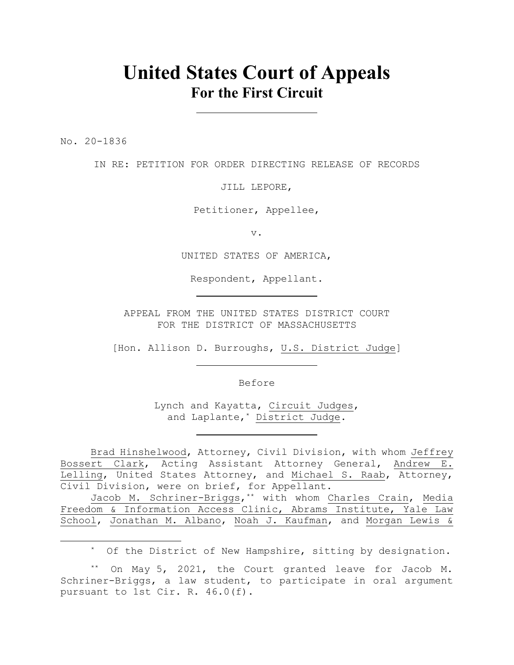# **United States Court of Appeals For the First Circuit**

No. 20-1836

IN RE: PETITION FOR ORDER DIRECTING RELEASE OF RECORDS

JILL LEPORE,

Petitioner, Appellee,

v.

UNITED STATES OF AMERICA,

Respondent, Appellant.

APPEAL FROM THE UNITED STATES DISTRICT COURT FOR THE DISTRICT OF MASSACHUSETTS

[Hon. Allison D. Burroughs, U.S. District Judge]

Before

Lynch and Kayatta, Circuit Judges, and Laplante,\* District Judge.

Brad Hinshelwood, Attorney, Civil Division, with whom Jeffrey Bossert Clark, Acting Assistant Attorney General, Andrew E. Lelling, United States Attorney, and Michael S. Raab, Attorney, Civil Division, were on brief, for Appellant.

Jacob M. Schriner-Briggs,\*\* with whom Charles Crain, Media Freedom & Information Access Clinic, Abrams Institute, Yale Law School, Jonathan M. Albano, Noah J. Kaufman, and Morgan Lewis &

\* Of the District of New Hampshire, sitting by designation.

\*\* On May 5, 2021, the Court granted leave for Jacob M. Schriner-Briggs, a law student, to participate in oral argument pursuant to 1st Cir. R. 46.0(f).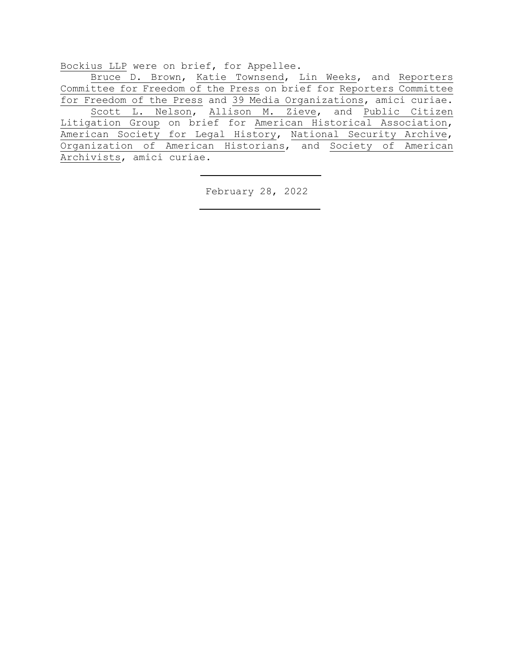Bockius LLP were on brief, for Appellee.

Bruce D. Brown, Katie Townsend, Lin Weeks, and Reporters Committee for Freedom of the Press on brief for Reporters Committee for Freedom of the Press and 39 Media Organizations, amici curiae. Scott L. Nelson, Allison M. Zieve, and Public Citizen Litigation Group on brief for American Historical Association, American Society for Legal History, National Security Archive, Organization of American Historians, and Society of American Archivists, amici curiae.

February 28, 2022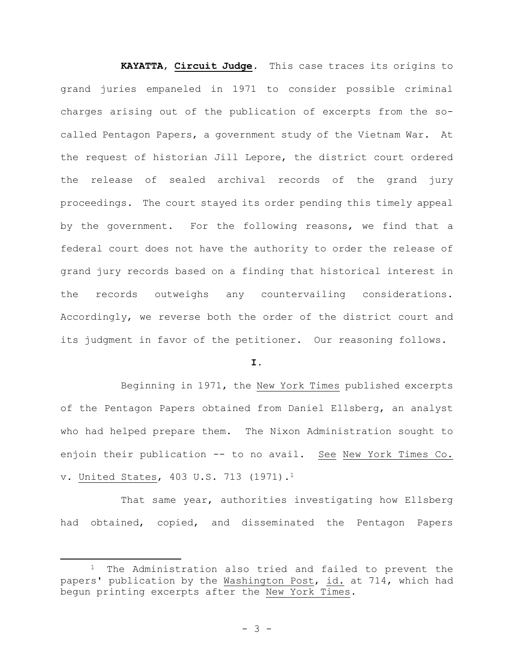**KAYATTA**, **Circuit Judge**. This case traces its origins to grand juries empaneled in 1971 to consider possible criminal charges arising out of the publication of excerpts from the socalled Pentagon Papers, a government study of the Vietnam War. At the request of historian Jill Lepore, the district court ordered the release of sealed archival records of the grand jury proceedings. The court stayed its order pending this timely appeal by the government. For the following reasons, we find that a federal court does not have the authority to order the release of grand jury records based on a finding that historical interest in the records outweighs any countervailing considerations. Accordingly, we reverse both the order of the district court and its judgment in favor of the petitioner. Our reasoning follows.

## **I.**

Beginning in 1971, the New York Times published excerpts of the Pentagon Papers obtained from Daniel Ellsberg, an analyst who had helped prepare them. The Nixon Administration sought to enjoin their publication -- to no avail. See New York Times Co. v. United States, 403 U.S. 713 (1971).<sup>1</sup>

That same year, authorities investigating how Ellsberg had obtained, copied, and disseminated the Pentagon Papers

The Administration also tried and failed to prevent the papers' publication by the Washington Post, id. at 714, which had begun printing excerpts after the New York Times.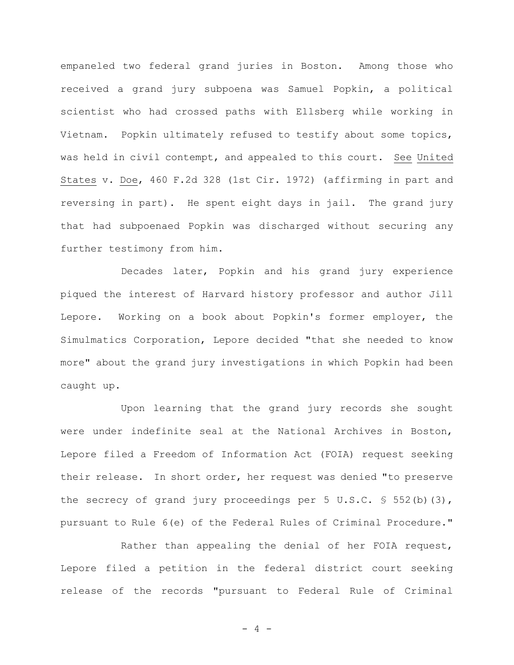empaneled two federal grand juries in Boston. Among those who received a grand jury subpoena was Samuel Popkin, a political scientist who had crossed paths with Ellsberg while working in Vietnam. Popkin ultimately refused to testify about some topics, was held in civil contempt, and appealed to this court. See United States v. Doe, 460 F.2d 328 (1st Cir. 1972) (affirming in part and reversing in part). He spent eight days in jail. The grand jury that had subpoenaed Popkin was discharged without securing any further testimony from him.

Decades later, Popkin and his grand jury experience piqued the interest of Harvard history professor and author Jill Lepore. Working on a book about Popkin's former employer, the Simulmatics Corporation, Lepore decided "that she needed to know more" about the grand jury investigations in which Popkin had been caught up.

Upon learning that the grand jury records she sought were under indefinite seal at the National Archives in Boston, Lepore filed a Freedom of Information Act (FOIA) request seeking their release. In short order, her request was denied "to preserve the secrecy of grand jury proceedings per 5 U.S.C.  $\frac{1}{5}$  552(b)(3), pursuant to Rule 6(e) of the Federal Rules of Criminal Procedure."

Rather than appealing the denial of her FOIA request, Lepore filed a petition in the federal district court seeking release of the records "pursuant to Federal Rule of Criminal

 $- 4 -$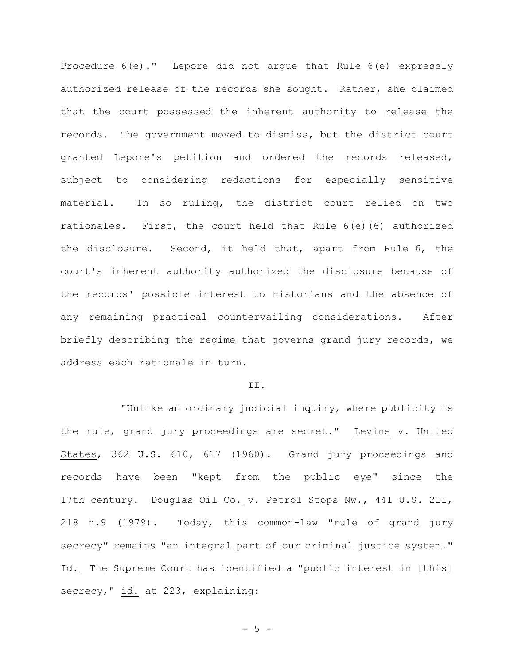Procedure 6(e)." Lepore did not argue that Rule 6(e) expressly authorized release of the records she sought. Rather, she claimed that the court possessed the inherent authority to release the records. The government moved to dismiss, but the district court granted Lepore's petition and ordered the records released, subject to considering redactions for especially sensitive material. In so ruling, the district court relied on two rationales. First, the court held that Rule 6(e)(6) authorized the disclosure. Second, it held that, apart from Rule 6, the court's inherent authority authorized the disclosure because of the records' possible interest to historians and the absence of any remaining practical countervailing considerations. After briefly describing the regime that governs grand jury records, we address each rationale in turn.

#### **II.**

"Unlike an ordinary judicial inquiry, where publicity is the rule, grand jury proceedings are secret." Levine v. United States, 362 U.S. 610, 617 (1960). Grand jury proceedings and records have been "kept from the public eye" since the 17th century. Douglas Oil Co. v. Petrol Stops Nw., 441 U.S. 211, 218 n.9 (1979). Today, this common-law "rule of grand jury secrecy" remains "an integral part of our criminal justice system." Id. The Supreme Court has identified a "public interest in [this] secrecy," id. at 223, explaining:

 $- 5 -$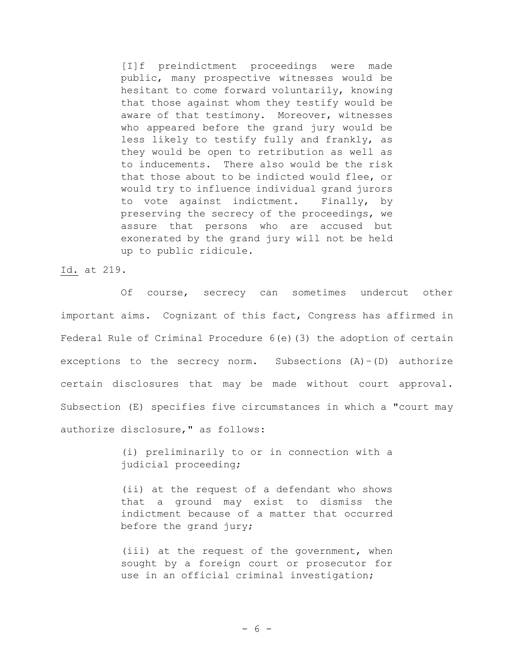[I]f preindictment proceedings were made public, many prospective witnesses would be hesitant to come forward voluntarily, knowing that those against whom they testify would be aware of that testimony. Moreover, witnesses who appeared before the grand jury would be less likely to testify fully and frankly, as they would be open to retribution as well as to inducements. There also would be the risk that those about to be indicted would flee, or would try to influence individual grand jurors to vote against indictment. Finally, by preserving the secrecy of the proceedings, we assure that persons who are accused but exonerated by the grand jury will not be held up to public ridicule.

Id. at 219.

Of course, secrecy can sometimes undercut other important aims. Cognizant of this fact, Congress has affirmed in Federal Rule of Criminal Procedure 6(e)(3) the adoption of certain exceptions to the secrecy norm. Subsections  $(A) - (D)$  authorize certain disclosures that may be made without court approval. Subsection (E) specifies five circumstances in which a "court may authorize disclosure," as follows:

> (i) preliminarily to or in connection with a judicial proceeding;

> (ii) at the request of a defendant who shows that a ground may exist to dismiss the indictment because of a matter that occurred before the grand jury;

> (iii) at the request of the government, when sought by a foreign court or prosecutor for use in an official criminal investigation;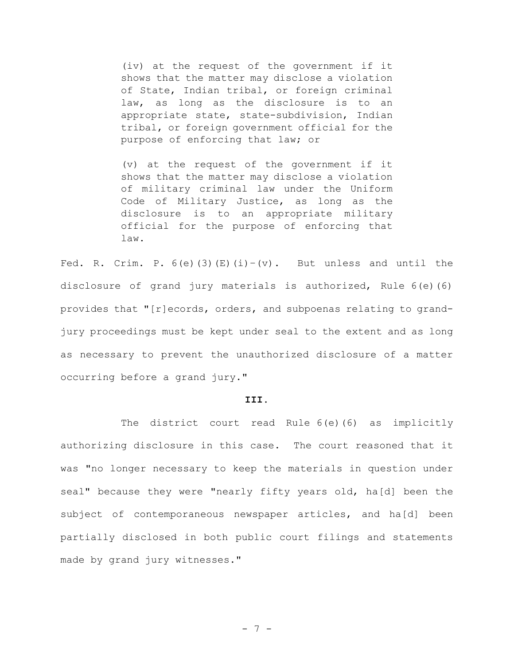(iv) at the request of the government if it shows that the matter may disclose a violation of State, Indian tribal, or foreign criminal law, as long as the disclosure is to an appropriate state, state-subdivision, Indian tribal, or foreign government official for the purpose of enforcing that law; or

(v) at the request of the government if it shows that the matter may disclose a violation of military criminal law under the Uniform Code of Military Justice, as long as the disclosure is to an appropriate military official for the purpose of enforcing that law.

Fed. R. Crim. P.  $6(e)$  (3)(E)(i)–(v). But unless and until the disclosure of grand jury materials is authorized, Rule 6(e)(6) provides that "[r]ecords, orders, and subpoenas relating to grandjury proceedings must be kept under seal to the extent and as long as necessary to prevent the unauthorized disclosure of a matter occurring before a grand jury."

#### **III.**

The district court read Rule 6(e)(6) as implicitly authorizing disclosure in this case. The court reasoned that it was "no longer necessary to keep the materials in question under seal" because they were "nearly fifty years old, ha[d] been the subject of contemporaneous newspaper articles, and ha[d] been partially disclosed in both public court filings and statements made by grand jury witnesses."

- 7 -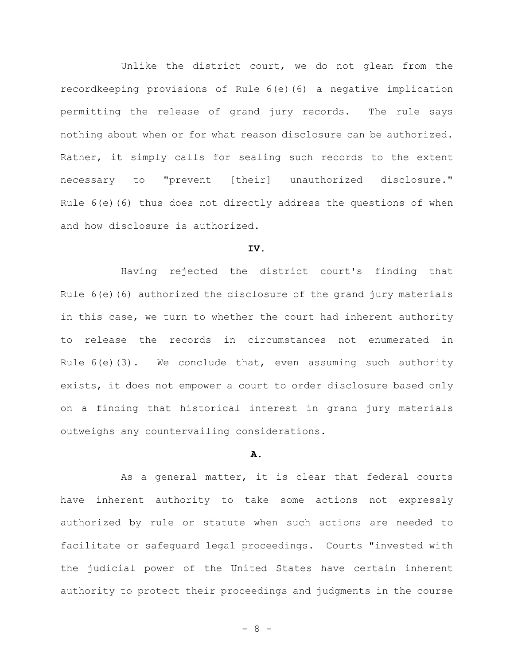Unlike the district court, we do not glean from the recordkeeping provisions of Rule 6(e)(6) a negative implication permitting the release of grand jury records. The rule says nothing about when or for what reason disclosure can be authorized. Rather, it simply calls for sealing such records to the extent necessary to "prevent [their] unauthorized disclosure." Rule  $6(e)$  (6) thus does not directly address the questions of when and how disclosure is authorized.

## **IV.**

Having rejected the district court's finding that Rule  $6(e)$  (6) authorized the disclosure of the grand jury materials in this case, we turn to whether the court had inherent authority to release the records in circumstances not enumerated in Rule 6(e)(3). We conclude that, even assuming such authority exists, it does not empower a court to order disclosure based only on a finding that historical interest in grand jury materials outweighs any countervailing considerations.

## **A.**

As a general matter, it is clear that federal courts have inherent authority to take some actions not expressly authorized by rule or statute when such actions are needed to facilitate or safeguard legal proceedings. Courts "invested with the judicial power of the United States have certain inherent authority to protect their proceedings and judgments in the course

- 8 -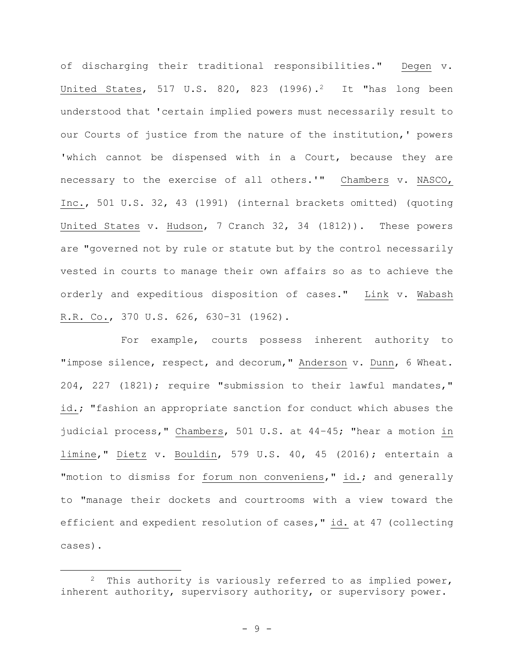of discharging their traditional responsibilities." Degen v. United States, 517 U.S. 820, 823  $(1996).^{2}$  It "has long been understood that 'certain implied powers must necessarily result to our Courts of justice from the nature of the institution,' powers 'which cannot be dispensed with in a Court, because they are necessary to the exercise of all others.'" Chambers v. NASCO, Inc., 501 U.S. 32, 43 (1991) (internal brackets omitted) (quoting United States v. Hudson, 7 Cranch 32, 34 (1812)). These powers are "governed not by rule or statute but by the control necessarily vested in courts to manage their own affairs so as to achieve the orderly and expeditious disposition of cases." Link v. Wabash R.R. Co., 370 U.S. 626, 630–31 (1962).

For example, courts possess inherent authority to "impose silence, respect, and decorum," Anderson v. Dunn, 6 Wheat. 204, 227 (1821); require "submission to their lawful mandates," id.; "fashion an appropriate sanction for conduct which abuses the judicial process," Chambers, 501 U.S. at 44–45; "hear a motion in limine," Dietz v. Bouldin, 579 U.S. 40, 45 (2016); entertain a "motion to dismiss for forum non conveniens," id.; and generally to "manage their dockets and courtrooms with a view toward the efficient and expedient resolution of cases," id. at 47 (collecting cases).

<sup>2</sup> This authority is variously referred to as implied power, inherent authority, supervisory authority, or supervisory power.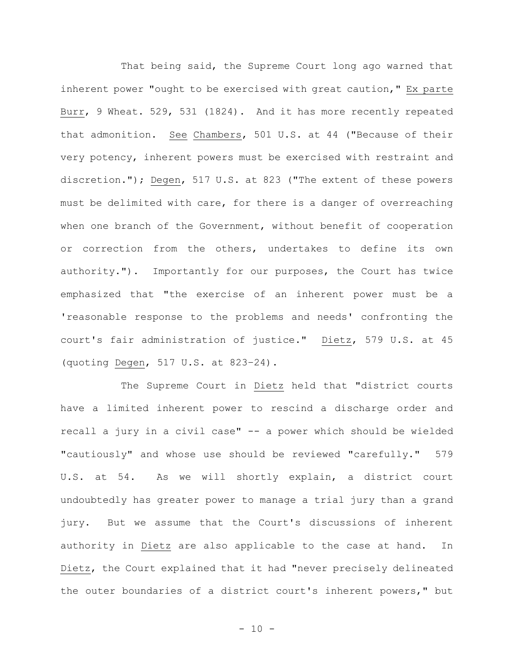That being said, the Supreme Court long ago warned that inherent power "ought to be exercised with great caution," Ex parte Burr, 9 Wheat. 529, 531 (1824). And it has more recently repeated that admonition. See Chambers, 501 U.S. at 44 ("Because of their very potency, inherent powers must be exercised with restraint and discretion."); Degen, 517 U.S. at 823 ("The extent of these powers must be delimited with care, for there is a danger of overreaching when one branch of the Government, without benefit of cooperation or correction from the others, undertakes to define its own authority."). Importantly for our purposes, the Court has twice emphasized that "the exercise of an inherent power must be a 'reasonable response to the problems and needs' confronting the court's fair administration of justice." Dietz, 579 U.S. at 45 (quoting Degen, 517 U.S. at 823–24).

The Supreme Court in Dietz held that "district courts have a limited inherent power to rescind a discharge order and recall a jury in a civil case" -- a power which should be wielded "cautiously" and whose use should be reviewed "carefully." 579 U.S. at 54. As we will shortly explain, a district court undoubtedly has greater power to manage a trial jury than a grand jury. But we assume that the Court's discussions of inherent authority in Dietz are also applicable to the case at hand. In Dietz, the Court explained that it had "never precisely delineated the outer boundaries of a district court's inherent powers," but

 $- 10 -$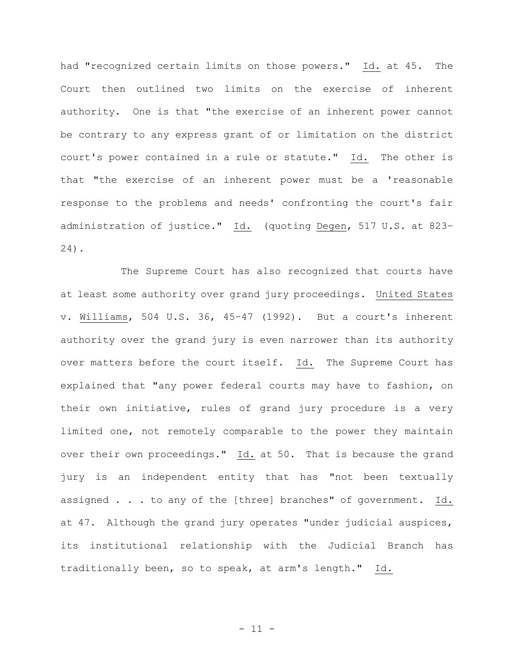had "recognized certain limits on those powers." Id. at 45. The Court then outlined two limits on the exercise of inherent authority. One is that "the exercise of an inherent power cannot be contrary to any express grant of or limitation on the district court's power contained in a rule or statute." Id. The other is that "the exercise of an inherent power must be a 'reasonable response to the problems and needs' confronting the court's fair administration of justice." Id. (quoting Degen, 517 U.S. at 823– 24).

The Supreme Court has also recognized that courts have at least some authority over grand jury proceedings. United States v. Williams, 504 U.S. 36, 45–47 (1992). But a court's inherent authority over the grand jury is even narrower than its authority over matters before the court itself. Id. The Supreme Court has explained that "any power federal courts may have to fashion, on their own initiative, rules of grand jury procedure is a very limited one, not remotely comparable to the power they maintain over their own proceedings." Id. at 50. That is because the grand jury is an independent entity that has "not been textually assigned . . . to any of the [three] branches" of government. Id. at 47. Although the grand jury operates "under judicial auspices, its institutional relationship with the Judicial Branch has traditionally been, so to speak, at arm's length." Id.

 $- 11 -$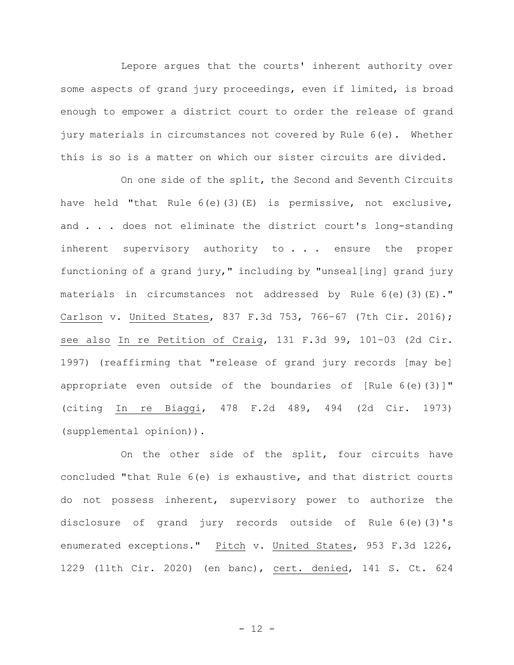Lepore argues that the courts' inherent authority over some aspects of grand jury proceedings, even if limited, is broad enough to empower a district court to order the release of grand jury materials in circumstances not covered by Rule 6(e). Whether this is so is a matter on which our sister circuits are divided.

On one side of the split, the Second and Seventh Circuits have held "that Rule 6(e)(3)(E) is permissive, not exclusive, and . . . does not eliminate the district court's long-standing inherent supervisory authority to . . . ensure the proper functioning of a grand jury," including by "unseal[ing] grand jury materials in circumstances not addressed by Rule  $6(e)$  (3)(E)." Carlson v. United States, 837 F.3d 753, 766–67 (7th Cir. 2016); see also In re Petition of Craig, 131 F.3d 99, 101–03 (2d Cir. 1997) (reaffirming that "release of grand jury records [may be] appropriate even outside of the boundaries of  $[Rule 6(e)(3)]$ " (citing In re Biaggi, 478 F.2d 489, 494 (2d Cir. 1973) (supplemental opinion)).

On the other side of the split, four circuits have concluded "that Rule 6(e) is exhaustive, and that district courts do not possess inherent, supervisory power to authorize the disclosure of grand jury records outside of Rule 6(e)(3)'s enumerated exceptions." Pitch v. United States, 953 F.3d 1226, 1229 (11th Cir. 2020) (en banc), cert. denied, 141 S. Ct. 624

 $- 12 -$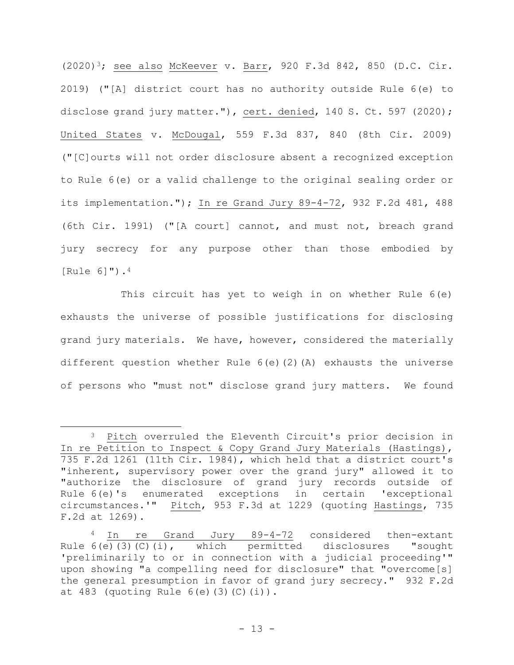(2020)3; see also McKeever v. Barr, 920 F.3d 842, 850 (D.C. Cir. 2019) ("[A] district court has no authority outside Rule 6(e) to disclose grand jury matter."), cert. denied, 140 S. Ct. 597 (2020); United States v. McDougal, 559 F.3d 837, 840 (8th Cir. 2009) ("[C]ourts will not order disclosure absent a recognized exception to Rule 6(e) or a valid challenge to the original sealing order or its implementation."); In re Grand Jury 89-4-72, 932 F.2d 481, 488 (6th Cir. 1991) ("[A court] cannot, and must not, breach grand jury secrecy for any purpose other than those embodied by [Rule 6]").<sup>4</sup>

This circuit has yet to weigh in on whether Rule 6(e) exhausts the universe of possible justifications for disclosing grand jury materials. We have, however, considered the materially different question whether Rule 6(e)(2)(A) exhausts the universe of persons who "must not" disclose grand jury matters. We found

<sup>3</sup> Pitch overruled the Eleventh Circuit's prior decision in In re Petition to Inspect & Copy Grand Jury Materials (Hastings), 735 F.2d 1261 (11th Cir. 1984), which held that a district court's "inherent, supervisory power over the grand jury" allowed it to "authorize the disclosure of grand jury records outside of Rule 6(e)'s enumerated exceptions in certain 'exceptional circumstances.'" Pitch, 953 F.3d at 1229 (quoting Hastings, 735 F.2d at 1269).

<sup>4</sup> In re Grand Jury 89-4-72 considered then-extant Rule  $6(e)$ (3)(C)(i), which permitted disclosures "sought 'preliminarily to or in connection with a judicial proceeding'" upon showing "a compelling need for disclosure" that "overcome[s] the general presumption in favor of grand jury secrecy." 932 F.2d at 483 (quoting Rule 6(e)(3)(C)(i)).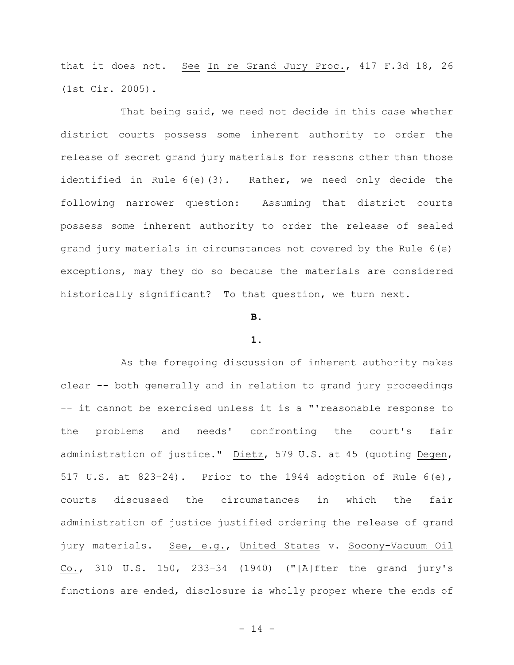that it does not. See In re Grand Jury Proc., 417 F.3d 18, 26 (1st Cir. 2005).

That being said, we need not decide in this case whether district courts possess some inherent authority to order the release of secret grand jury materials for reasons other than those identified in Rule 6(e)(3). Rather, we need only decide the following narrower question: Assuming that district courts possess some inherent authority to order the release of sealed grand jury materials in circumstances not covered by the Rule 6(e) exceptions, may they do so because the materials are considered historically significant? To that question, we turn next.

## **B.**

#### **1.**

As the foregoing discussion of inherent authority makes clear -- both generally and in relation to grand jury proceedings -- it cannot be exercised unless it is a "'reasonable response to the problems and needs' confronting the court's fair administration of justice." Dietz, 579 U.S. at 45 (quoting Degen, 517 U.S. at 823-24). Prior to the 1944 adoption of Rule  $6(e)$ , courts discussed the circumstances in which the fair administration of justice justified ordering the release of grand jury materials. See, e.g., United States v. Socony-Vacuum Oil Co., 310 U.S. 150, 233–34 (1940) ("[A]fter the grand jury's functions are ended, disclosure is wholly proper where the ends of

- 14 -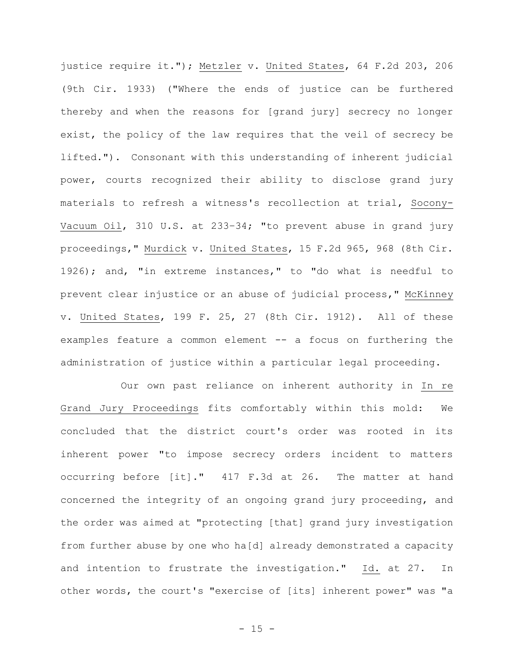justice require it."); Metzler v. United States, 64 F.2d 203, 206 (9th Cir. 1933) ("Where the ends of justice can be furthered thereby and when the reasons for [grand jury] secrecy no longer exist, the policy of the law requires that the veil of secrecy be lifted."). Consonant with this understanding of inherent judicial power, courts recognized their ability to disclose grand jury materials to refresh a witness's recollection at trial, Socony-Vacuum Oil, 310 U.S. at 233–34; "to prevent abuse in grand jury proceedings," Murdick v. United States, 15 F.2d 965, 968 (8th Cir. 1926); and, "in extreme instances," to "do what is needful to prevent clear injustice or an abuse of judicial process," McKinney v. United States, 199 F. 25, 27 (8th Cir. 1912). All of these examples feature a common element -- a focus on furthering the administration of justice within a particular legal proceeding.

Our own past reliance on inherent authority in In re Grand Jury Proceedings fits comfortably within this mold: We concluded that the district court's order was rooted in its inherent power "to impose secrecy orders incident to matters occurring before [it]." 417 F.3d at 26. The matter at hand concerned the integrity of an ongoing grand jury proceeding, and the order was aimed at "protecting [that] grand jury investigation from further abuse by one who ha[d] already demonstrated a capacity and intention to frustrate the investigation." Id. at 27. In other words, the court's "exercise of [its] inherent power" was "a

 $- 15 -$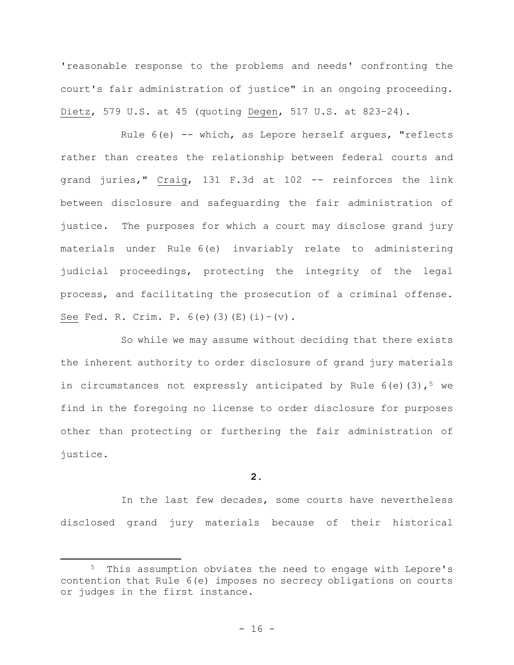'reasonable response to the problems and needs' confronting the court's fair administration of justice" in an ongoing proceeding. Dietz, 579 U.S. at 45 (quoting Degen, 517 U.S. at 823–24).

Rule  $6(e)$  -- which, as Lepore herself arques, "reflects rather than creates the relationship between federal courts and grand juries," Craig, 131 F.3d at 102 -- reinforces the link between disclosure and safeguarding the fair administration of justice. The purposes for which a court may disclose grand jury materials under Rule 6(e) invariably relate to administering judicial proceedings, protecting the integrity of the legal process, and facilitating the prosecution of a criminal offense. See Fed. R. Crim. P.  $6(e)$  (3)(E)(i)-(v).

So while we may assume without deciding that there exists the inherent authority to order disclosure of grand jury materials in circumstances not expressly anticipated by Rule  $6(e)$  (3),<sup>5</sup> we find in the foregoing no license to order disclosure for purposes other than protecting or furthering the fair administration of justice.

# **2.**

In the last few decades, some courts have nevertheless disclosed grand jury materials because of their historical

<sup>5</sup> This assumption obviates the need to engage with Lepore's contention that Rule 6(e) imposes no secrecy obligations on courts or judges in the first instance.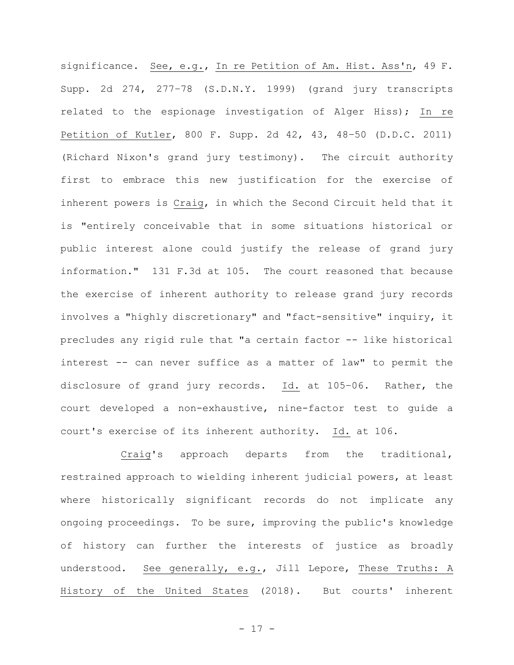significance. See, e.g., In re Petition of Am. Hist. Ass'n, 49 F. Supp. 2d 274, 277–78 (S.D.N.Y. 1999) (grand jury transcripts related to the espionage investigation of Alger Hiss); In re Petition of Kutler, 800 F. Supp. 2d 42, 43, 48–50 (D.D.C. 2011) (Richard Nixon's grand jury testimony). The circuit authority first to embrace this new justification for the exercise of inherent powers is Craig, in which the Second Circuit held that it is "entirely conceivable that in some situations historical or public interest alone could justify the release of grand jury information." 131 F.3d at 105. The court reasoned that because the exercise of inherent authority to release grand jury records involves a "highly discretionary" and "fact-sensitive" inquiry, it precludes any rigid rule that "a certain factor -- like historical interest -- can never suffice as a matter of law" to permit the disclosure of grand jury records. Id. at 105–06. Rather, the court developed a non-exhaustive, nine-factor test to guide a court's exercise of its inherent authority. Id. at 106.

Craig's approach departs from the traditional, restrained approach to wielding inherent judicial powers, at least where historically significant records do not implicate any ongoing proceedings. To be sure, improving the public's knowledge of history can further the interests of justice as broadly understood. See generally, e.g., Jill Lepore, These Truths: A History of the United States (2018). But courts' inherent

- 17 -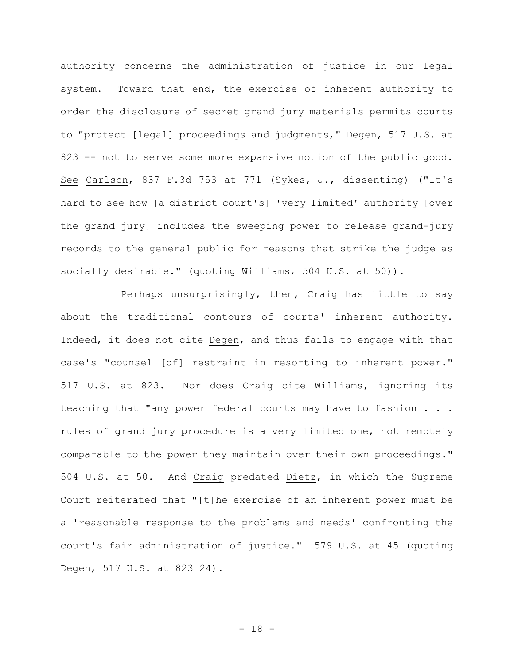authority concerns the administration of justice in our legal system. Toward that end, the exercise of inherent authority to order the disclosure of secret grand jury materials permits courts to "protect [legal] proceedings and judgments," Degen, 517 U.S. at 823 -- not to serve some more expansive notion of the public good. See Carlson, 837 F.3d 753 at 771 (Sykes, J., dissenting) ("It's hard to see how [a district court's] 'very limited' authority [over the grand jury] includes the sweeping power to release grand-jury records to the general public for reasons that strike the judge as socially desirable." (quoting Williams, 504 U.S. at 50)).

Perhaps unsurprisingly, then, Craig has little to say about the traditional contours of courts' inherent authority. Indeed, it does not cite Degen, and thus fails to engage with that case's "counsel [of] restraint in resorting to inherent power." 517 U.S. at 823. Nor does Craig cite Williams, ignoring its teaching that "any power federal courts may have to fashion . . . rules of grand jury procedure is a very limited one, not remotely comparable to the power they maintain over their own proceedings." 504 U.S. at 50. And Craig predated Dietz, in which the Supreme Court reiterated that "[t]he exercise of an inherent power must be a 'reasonable response to the problems and needs' confronting the court's fair administration of justice." 579 U.S. at 45 (quoting Degen, 517 U.S. at 823–24).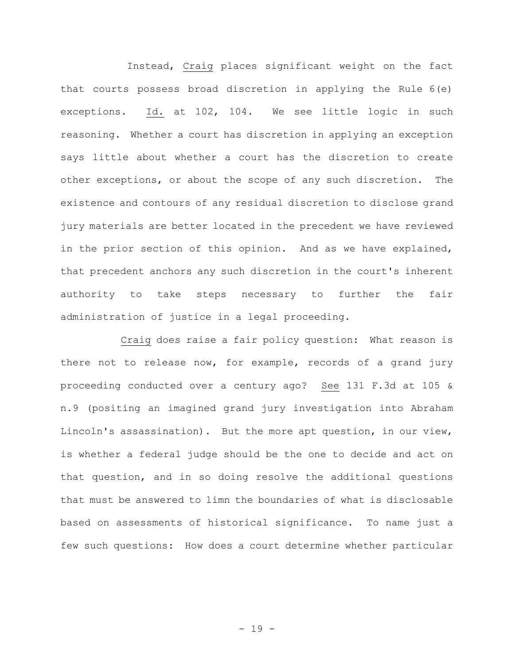Instead, Craig places significant weight on the fact that courts possess broad discretion in applying the Rule 6(e) exceptions. Id. at 102, 104. We see little logic in such reasoning. Whether a court has discretion in applying an exception says little about whether a court has the discretion to create other exceptions, or about the scope of any such discretion. The existence and contours of any residual discretion to disclose grand jury materials are better located in the precedent we have reviewed in the prior section of this opinion. And as we have explained, that precedent anchors any such discretion in the court's inherent authority to take steps necessary to further the fair administration of justice in a legal proceeding.

Craig does raise a fair policy question: What reason is there not to release now, for example, records of a grand jury proceeding conducted over a century ago? See 131 F.3d at 105 & n.9 (positing an imagined grand jury investigation into Abraham Lincoln's assassination). But the more apt question, in our view, is whether a federal judge should be the one to decide and act on that question, and in so doing resolve the additional questions that must be answered to limn the boundaries of what is disclosable based on assessments of historical significance. To name just a few such questions: How does a court determine whether particular

- 19 -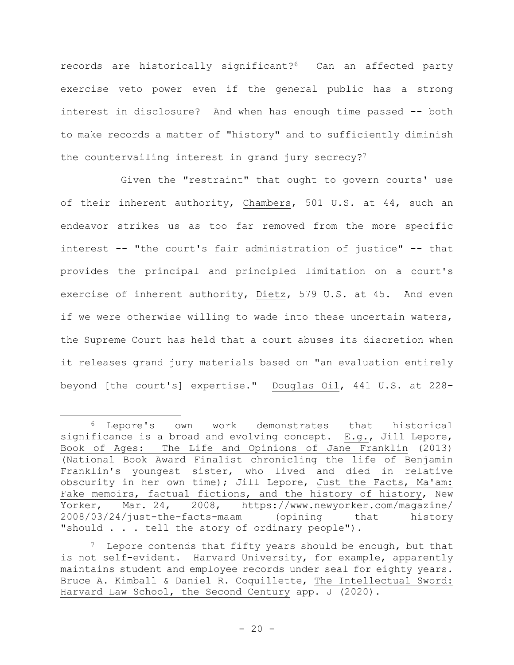records are historically significant?<sup>6</sup> Can an affected party exercise veto power even if the general public has a strong interest in disclosure? And when has enough time passed -- both to make records a matter of "history" and to sufficiently diminish the countervailing interest in grand jury secrecy?<sup>7</sup>

Given the "restraint" that ought to govern courts' use of their inherent authority, Chambers, 501 U.S. at 44, such an endeavor strikes us as too far removed from the more specific interest -- "the court's fair administration of justice" -- that provides the principal and principled limitation on a court's exercise of inherent authority, Dietz, 579 U.S. at 45. And even if we were otherwise willing to wade into these uncertain waters, the Supreme Court has held that a court abuses its discretion when it releases grand jury materials based on "an evaluation entirely beyond [the court's] expertise." Douglas Oil, 441 U.S. at 228–

<sup>6</sup> Lepore's own work demonstrates that historical significance is a broad and evolving concept. E.g., Jill Lepore, Book of Ages: The Life and Opinions of Jane Franklin (2013) (National Book Award Finalist chronicling the life of Benjamin Franklin's youngest sister, who lived and died in relative obscurity in her own time); Jill Lepore, Just the Facts, Ma'am: Fake memoirs, factual fictions, and the history of history, New Yorker, Mar. 24, 2008, https://www.newyorker.com/magazine/ 2008/03/24/just-the-facts-maam (opining that history "should . . . tell the story of ordinary people").

 $7$  Lepore contends that fifty years should be enough, but that is not self-evident. Harvard University, for example, apparently maintains student and employee records under seal for eighty years. Bruce A. Kimball & Daniel R. Coquillette, The Intellectual Sword: Harvard Law School, the Second Century app. J (2020).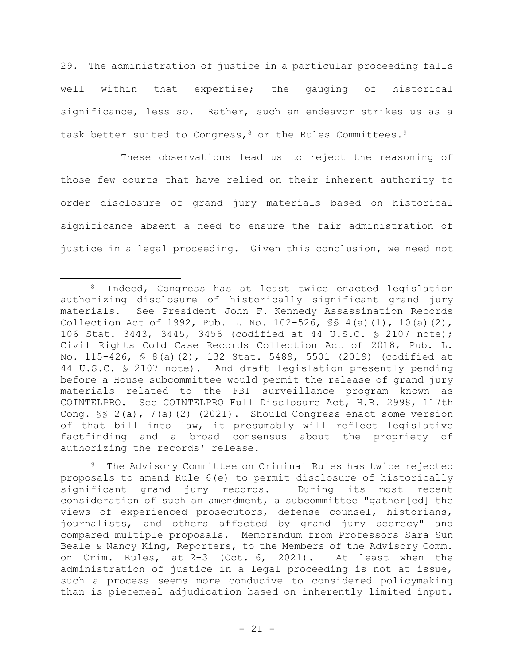29. The administration of justice in a particular proceeding falls well within that expertise; the gauging of historical significance, less so. Rather, such an endeavor strikes us as a task better suited to Congress, 8 or the Rules Committees. 9

These observations lead us to reject the reasoning of those few courts that have relied on their inherent authority to order disclosure of grand jury materials based on historical significance absent a need to ensure the fair administration of justice in a legal proceeding. Given this conclusion, we need not

<sup>9</sup> The Advisory Committee on Criminal Rules has twice rejected proposals to amend Rule 6(e) to permit disclosure of historically significant grand jury records. During its most recent consideration of such an amendment, a subcommittee "gather[ed] the views of experienced prosecutors, defense counsel, historians, journalists, and others affected by grand jury secrecy" and compared multiple proposals. Memorandum from Professors Sara Sun Beale & Nancy King, Reporters, to the Members of the Advisory Comm. on Crim. Rules, at 2–3 (Oct. 6, 2021). At least when the administration of justice in a legal proceeding is not at issue, such a process seems more conducive to considered policymaking than is piecemeal adjudication based on inherently limited input.

<sup>8</sup> Indeed, Congress has at least twice enacted legislation authorizing disclosure of historically significant grand jury materials. See President John F. Kennedy Assassination Records Collection Act of 1992, Pub. L. No. 102-526, §§ 4(a)(1), 10(a)(2), 106 Stat. 3443, 3445, 3456 (codified at 44 U.S.C. § 2107 note); Civil Rights Cold Case Records Collection Act of 2018, Pub. L. No. 115-426, § 8(a)(2), 132 Stat. 5489, 5501 (2019) (codified at 44 U.S.C. § 2107 note). And draft legislation presently pending before a House subcommittee would permit the release of grand jury materials related to the FBI surveillance program known as COINTELPRO. See COINTELPRO Full Disclosure Act, H.R. 2998, 117th Cong. §§ 2(a), 7(a)(2) (2021). Should Congress enact some version of that bill into law, it presumably will reflect legislative factfinding and a broad consensus about the propriety of authorizing the records' release.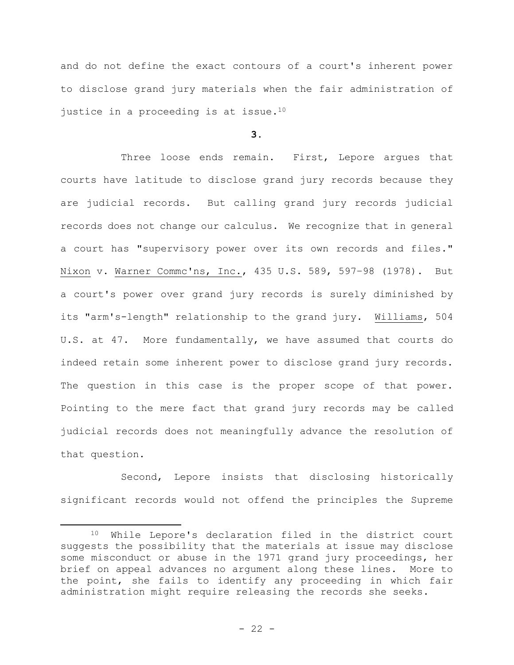and do not define the exact contours of a court's inherent power to disclose grand jury materials when the fair administration of justice in a proceeding is at issue.<sup>10</sup>

## **3.**

Three loose ends remain. First, Lepore argues that courts have latitude to disclose grand jury records because they are judicial records. But calling grand jury records judicial records does not change our calculus. We recognize that in general a court has "supervisory power over its own records and files." Nixon v. Warner Commc'ns, Inc., 435 U.S. 589, 597–98 (1978). But a court's power over grand jury records is surely diminished by its "arm's-length" relationship to the grand jury. Williams, 504 U.S. at 47. More fundamentally, we have assumed that courts do indeed retain some inherent power to disclose grand jury records. The question in this case is the proper scope of that power. Pointing to the mere fact that grand jury records may be called judicial records does not meaningfully advance the resolution of that question.

Second, Lepore insists that disclosing historically significant records would not offend the principles the Supreme

<sup>10</sup> While Lepore's declaration filed in the district court suggests the possibility that the materials at issue may disclose some misconduct or abuse in the 1971 grand jury proceedings, her brief on appeal advances no argument along these lines. More to the point, she fails to identify any proceeding in which fair administration might require releasing the records she seeks.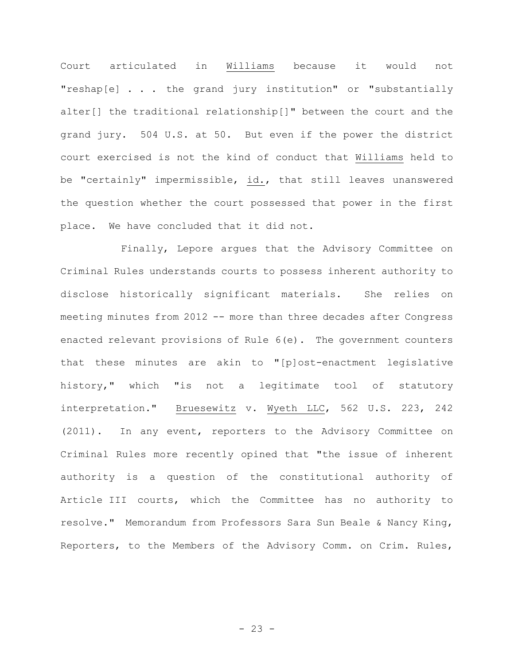Court articulated in Williams because it would not "reshap[e] . . . the grand jury institution" or "substantially alter[] the traditional relationship[]" between the court and the grand jury. 504 U.S. at 50. But even if the power the district court exercised is not the kind of conduct that Williams held to be "certainly" impermissible, id., that still leaves unanswered the question whether the court possessed that power in the first place. We have concluded that it did not.

Finally, Lepore argues that the Advisory Committee on Criminal Rules understands courts to possess inherent authority to disclose historically significant materials. She relies on meeting minutes from 2012 -- more than three decades after Congress enacted relevant provisions of Rule 6(e). The government counters that these minutes are akin to "[p]ost-enactment legislative history," which "is not a legitimate tool of statutory interpretation." Bruesewitz v. Wyeth LLC, 562 U.S. 223, 242 (2011). In any event, reporters to the Advisory Committee on Criminal Rules more recently opined that "the issue of inherent authority is a question of the constitutional authority of Article III courts, which the Committee has no authority to resolve." Memorandum from Professors Sara Sun Beale & Nancy King, Reporters, to the Members of the Advisory Comm. on Crim. Rules,